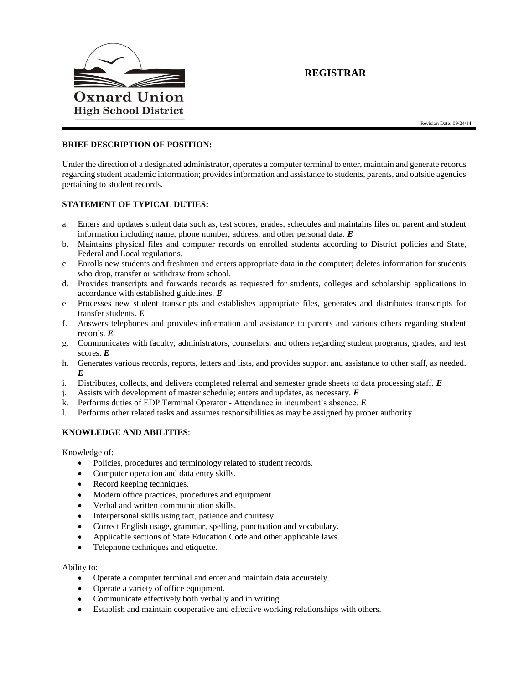

# **REGISTRAR**

Revision Date: 09/24/14

## **BRIEF DESCRIPTION OF POSITION:**

Under the direction of a designated administrator, operates a computer terminal to enter, maintain and generate records regarding student academic information; provides information and assistance to students, parents, and outside agencies pertaining to student records.

## **STATEMENT OF TYPICAL DUTIES:**

- a. Enters and updates student data such as, test scores, grades, schedules and maintains files on parent and student information including name, phone number, address, and other personal data. *E*
- b. Maintains physical files and computer records on enrolled students according to District policies and State, Federal and Local regulations.
- c. Enrolls new students and freshmen and enters appropriate data in the computer; deletes information for students who drop, transfer or withdraw from school.
- d. Provides transcripts and forwards records as requested for students, colleges and scholarship applications in accordance with established guidelines. *E*
- e. Processes new student transcripts and establishes appropriate files, generates and distributes transcripts for transfer students. *E*
- f. Answers telephones and provides information and assistance to parents and various others regarding student records. *E*
- g. Communicates with faculty, administrators, counselors, and others regarding student programs, grades, and test scores. *E*
- h. Generates various records, reports, letters and lists, and provides support and assistance to other staff, as needed. *E*
- i. Distributes, collects, and delivers completed referral and semester grade sheets to data processing staff. *E*
- j. Assists with development of master schedule; enters and updates, as necessary. *E*
- k. Performs duties of EDP Terminal Operator Attendance in incumbent's absence. *E*
- l. Performs other related tasks and assumes responsibilities as may be assigned by proper authority.

## **KNOWLEDGE AND ABILITIES**:

Knowledge of:

- Policies, procedures and terminology related to student records.
- Computer operation and data entry skills.
- Record keeping techniques.
- Modern office practices, procedures and equipment.
- Verbal and written communication skills.
- Interpersonal skills using tact, patience and courtesy.
- Correct English usage, grammar, spelling, punctuation and vocabulary.
- Applicable sections of State Education Code and other applicable laws.
- Telephone techniques and etiquette.

#### Ability to:

- Operate a computer terminal and enter and maintain data accurately.
- Operate a variety of office equipment.
- Communicate effectively both verbally and in writing.
- Establish and maintain cooperative and effective working relationships with others.